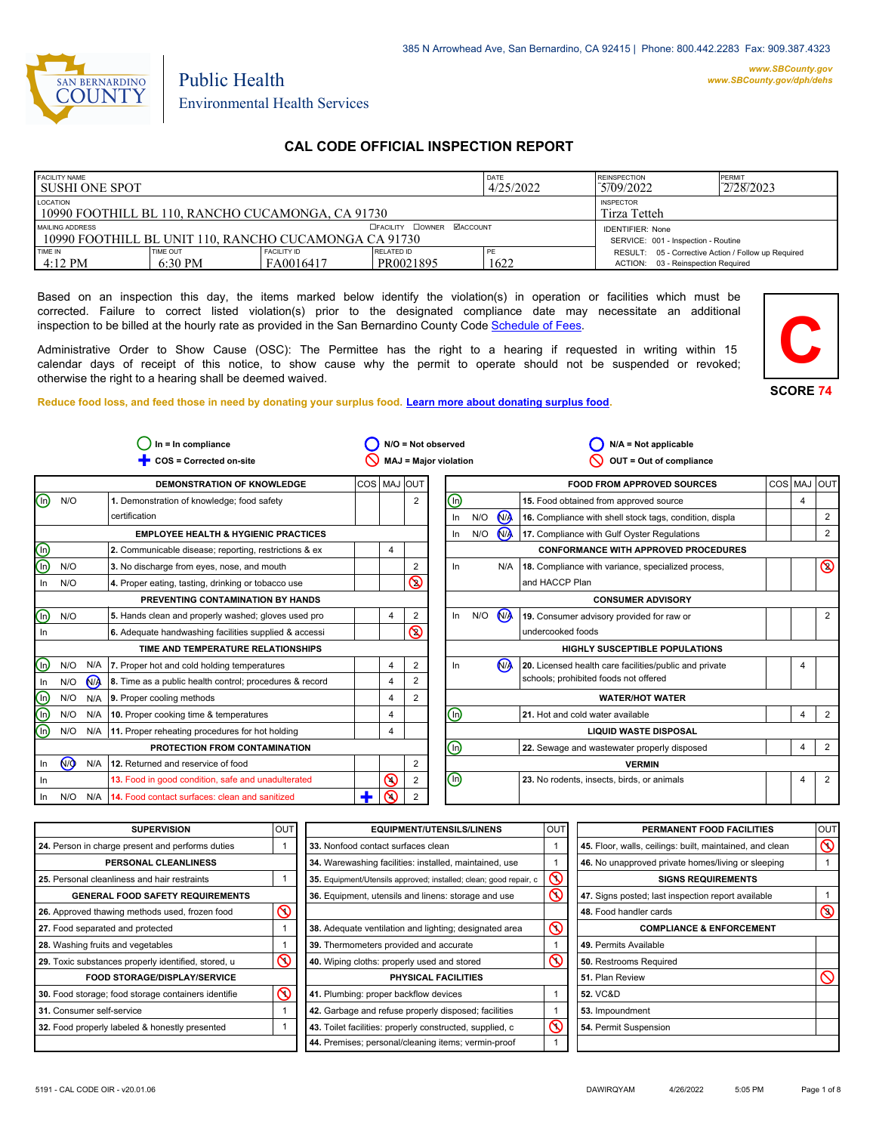

#### *www.SBCounty.gov [www.SBCounty.gov/dph/dehs](http://www.sbcounty.gov/dph/ehsportal)*

Public Health Environmental Health Services

# **CAL CODE OFFICIAL INSPECTION REPORT**

| <b>FACILITY NAME</b><br>I SUSHI ONE SPOT                                                          |                                                       |                                 |                                  | <b>DATE</b><br>4/25/2022 | <b>REINSPECTION</b><br>PERMIT<br>2/28/2023<br>5709/2022                                   |  |  |
|---------------------------------------------------------------------------------------------------|-------------------------------------------------------|---------------------------------|----------------------------------|--------------------------|-------------------------------------------------------------------------------------------|--|--|
| LOCATION<br><b>INSPECTOR</b><br>10990 FOOTHILL BL 110, RANCHO CUCAMONGA, CA 91730<br>Tirza Tetteh |                                                       |                                 |                                  |                          |                                                                                           |  |  |
| MAILING ADDRESS                                                                                   | 10990 FOOTHILL BL UNIT 110, RANCHO CUCAMONGA CA 91730 |                                 | <b>OFACILITY COWNER MACCOUNT</b> |                          | <b>IDENTIFIER: None</b><br>SERVICE: 001 - Inspection - Routine                            |  |  |
| TIME IN<br>$4:12 \text{ PM}$                                                                      | TIME OUT<br>$6:30 \text{ PM}$                         | <b>FACILITY ID</b><br>FA0016417 | <b>RELATED ID</b><br>PR0021895   | PE<br>1622               | RESULT: 05 - Corrective Action / Follow up Required<br>ACTION: 03 - Reinspection Required |  |  |

Based on an inspection this day, the items marked below identify the violation(s) in operation or facilities which must be corrected. Failure to correct listed violation(s) prior to the designated compliance date may necessitate an additional inspection to be billed at the hourly rate as provided in the San Bernardino County Co[de Schedule of Fees.](https://codelibrary.amlegal.com/codes/sanbernardino/latest/sanberncty_ca/0-0-0-122474#JD_16.0213B)

Administrative Order to Show Cause (OSC): The Permittee has the right to a hearing if requested in writing within 15 calendar days of receipt of this notice, to show cause why the permit to operate should not be suspended or revoked; otherwise the right to a hearing shall be deemed waived.

**Reduce food loss, and feed those in need by donating your surplus f[ood. Learn more about donating surplus food.](https://wp.sbcounty.gov/dph/programs/ehs/charitable-food-service/)**



| $ln = ln$ compliance    |                               |                | $N/O = Not observed$<br>$N/A = Not applicable$          |                |                |                                                         |                                             |     |                |                                                         |         |   |                |
|-------------------------|-------------------------------|----------------|---------------------------------------------------------|----------------|----------------|---------------------------------------------------------|---------------------------------------------|-----|----------------|---------------------------------------------------------|---------|---|----------------|
|                         |                               |                | COS = Corrected on-site                                 |                |                | <b>MAJ = Major violation</b><br>OUT = Out of compliance |                                             |     |                |                                                         |         |   |                |
|                         |                               |                | <b>DEMONSTRATION OF KNOWLEDGE</b>                       | COS   MAJ  OUT |                |                                                         |                                             |     |                | <b>FOOD FROM APPROVED SOURCES</b>                       | COS MAJ |   | l out          |
| ⊚                       | N/O                           |                | 1. Demonstration of knowledge; food safety              |                | $\overline{2}$ | (In)                                                    |                                             |     |                | 15. Food obtained from approved source                  |         | 4 |                |
|                         |                               |                | certification                                           |                |                | In                                                      |                                             | N/O | N <sub>1</sub> | 16. Compliance with shell stock tags, condition, displa |         |   | $\overline{2}$ |
|                         |                               |                | <b>EMPLOYEE HEALTH &amp; HYGIENIC PRACTICES</b>         |                |                |                                                         | In                                          | N/O | <b>NA</b>      | 17. Compliance with Gulf Oyster Regulations             |         |   | 2              |
| <u>ම</u>                |                               |                | 2. Communicable disease; reporting, restrictions & ex   |                |                |                                                         |                                             |     |                | <b>CONFORMANCE WITH APPROVED PROCEDURES</b>             |         |   |                |
|                         | N/O                           |                | 3. No discharge from eyes, nose, and mouth              |                | $\overline{2}$ |                                                         | In.                                         |     | N/A            | 18. Compliance with variance, specialized process,      |         |   | $\circledcirc$ |
| In.                     | N/O                           |                | 4. Proper eating, tasting, drinking or tobacco use      |                | $\circledS$    |                                                         |                                             |     |                | and HACCP Plan                                          |         |   |                |
|                         |                               |                | PREVENTING CONTAMINATION BY HANDS                       |                |                |                                                         | <b>CONSUMER ADVISORY</b>                    |     |                |                                                         |         |   |                |
| ⋒                       | N/O                           |                | 5. Hands clean and properly washed; gloves used pro     |                | 2              |                                                         | ln                                          | N/O | N <sub>1</sub> | 19. Consumer advisory provided for raw or               |         |   | 2              |
| In.                     |                               |                | 6. Adequate handwashing facilities supplied & accessi   |                | $\circledcirc$ |                                                         |                                             |     |                | undercooked foods                                       |         |   |                |
|                         |                               |                | TIME AND TEMPERATURE RELATIONSHIPS                      |                |                |                                                         |                                             |     |                | <b>HIGHLY SUSCEPTIBLE POPULATIONS</b>                   |         |   |                |
| ⋒                       | N/O                           |                | N/A   7. Proper hot and cold holding temperatures       |                | 2              |                                                         | In.                                         |     | N <sub>1</sub> | 20. Licensed health care facilities/public and private  |         |   |                |
| In                      | N/O                           | N <sub>A</sub> | 8. Time as a public health control; procedures & record | $\overline{4}$ | $\overline{2}$ |                                                         |                                             |     |                | schools; prohibited foods not offered                   |         |   |                |
| $^\copyright$           | N/O                           | N/A            | 9. Proper cooling methods                               |                | 2              |                                                         |                                             |     |                | <b>WATER/HOT WATER</b>                                  |         |   |                |
| $\overline{\mathbb{O}}$ | N/O                           | N/A            | 10. Proper cooking time & temperatures                  |                |                | ⓪                                                       |                                             |     |                | 21. Hot and cold water available                        |         | 4 | $\overline{2}$ |
| ⋒                       | N/O                           | N/A            | 11. Proper reheating procedures for hot holding         | 4              |                |                                                         | <b>LIQUID WASTE DISPOSAL</b>                |     |                |                                                         |         |   |                |
|                         | PROTECTION FROM CONTAMINATION |                | $\bm{\mathbb{\Theta}}$                                  |                |                |                                                         | 22. Sewage and wastewater properly disposed |     | 4              | $\overline{2}$                                          |         |   |                |
| In                      | $\sqrt{9}$                    | N/A            | 12. Returned and reservice of food                      |                | 2              |                                                         |                                             |     |                | <b>VERMIN</b>                                           |         |   |                |
| In                      |                               |                | 13. Food in good condition, safe and unadulterated      | $\odot$        | $\overline{2}$ | 哂                                                       |                                             |     |                | 23. No rodents, insects, birds, or animals              |         | 4 | 2              |
| In                      | N/O                           | N/A            | 14. Food contact surfaces: clean and sanitized          | ∩              |                |                                                         |                                             |     |                |                                                         |         |   |                |
|                         |                               |                |                                                         |                |                |                                                         |                                             |     |                |                                                         |         |   |                |

| <b>SUPERVISION</b>                                  | OU <sub>1</sub> | <b>EQUIPMENT/UTENSILS/LINENS</b>                                  | OU <sub>1</sub> | PERMANENT FOOD FACILITIES                                | <b>OUT</b>     |
|-----------------------------------------------------|-----------------|-------------------------------------------------------------------|-----------------|----------------------------------------------------------|----------------|
| 24. Person in charge present and performs duties    |                 | 33. Nonfood contact surfaces clean                                |                 | 45. Floor, walls, ceilings: built, maintained, and clean | $\infty$       |
| PERSONAL CLEANLINESS                                |                 | 34. Warewashing facilities: installed, maintained, use            |                 | 46. No unapproved private homes/living or sleeping       |                |
| 25. Personal cleanliness and hair restraints        |                 | 35. Equipment/Utensils approved; installed; clean; good repair, c | S               | <b>SIGNS REQUIREMENTS</b>                                |                |
| <b>GENERAL FOOD SAFETY REQUIREMENTS</b>             |                 | 36. Equipment, utensils and linens: storage and use               | $\mathcal{S}$   | 47. Signs posted; last inspection report available       |                |
| 26. Approved thawing methods used, frozen food      | $\odot$         |                                                                   |                 | 48. Food handler cards                                   | $\circledcirc$ |
| 27. Food separated and protected                    |                 | 38. Adequate ventilation and lighting; designated area            | $\infty$        | <b>COMPLIANCE &amp; ENFORCEMENT</b>                      |                |
| 28. Washing fruits and vegetables                   |                 | 39. Thermometers provided and accurate                            |                 | 49. Permits Available                                    |                |
| 29. Toxic substances properly identified, stored, u | $\infty$        | 40. Wiping cloths: properly used and stored                       | $\infty$        | 50. Restrooms Required                                   |                |
| <b>FOOD STORAGE/DISPLAY/SERVICE</b>                 |                 | PHYSICAL FACILITIES                                               |                 | 51. Plan Review                                          | $\infty$       |
| 30. Food storage; food storage containers identifie | $\mathcal Q$    | 41. Plumbing: proper backflow devices                             |                 | <b>52. VC&amp;D</b>                                      |                |
| 31. Consumer self-service                           |                 | 42. Garbage and refuse properly disposed; facilities              |                 | 53. Impoundment                                          |                |
| 32. Food properly labeled & honestly presented      |                 | 43. Toilet facilities: properly constructed, supplied, c          | $\mathcal{C}$   | 54. Permit Suspension                                    |                |
|                                                     |                 | 44. Premises; personal/cleaning items; vermin-proof               |                 |                                                          |                |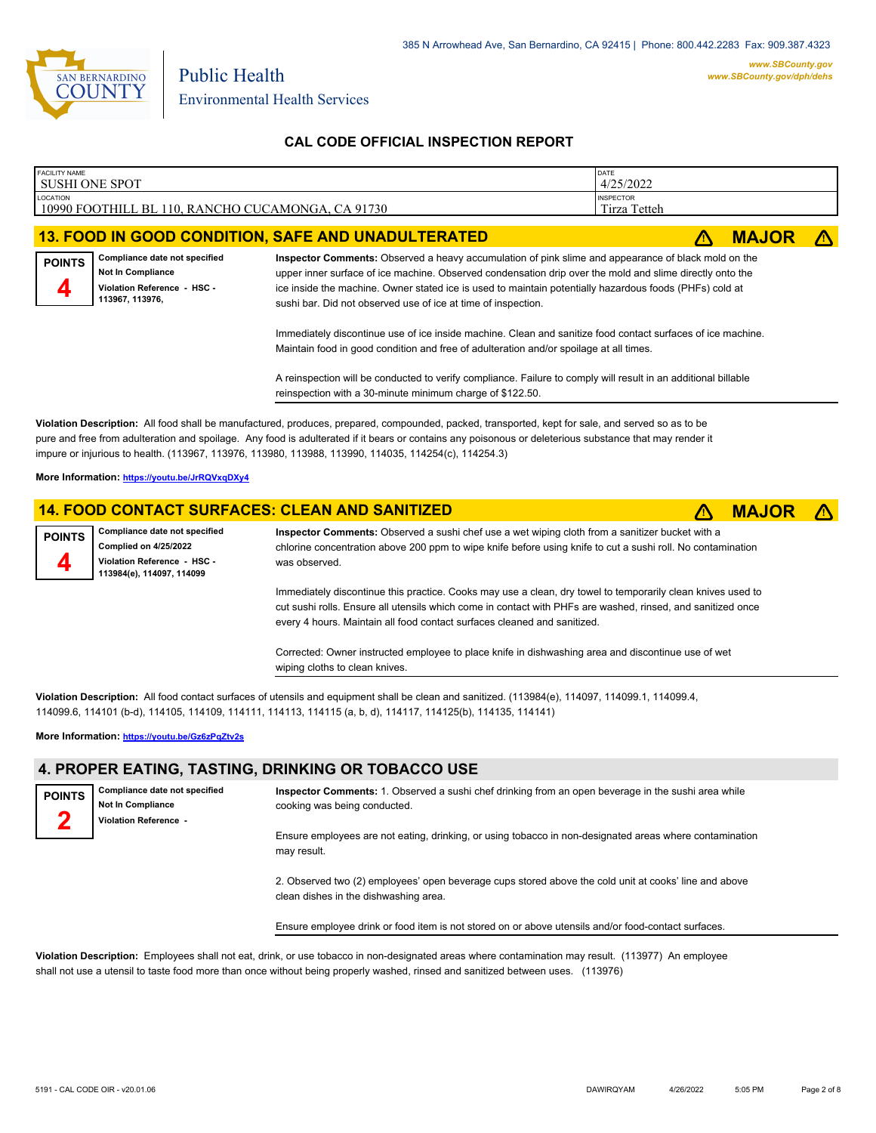

| FACILITY NAME<br><b>SUSHI ONE SPOT</b> |                                                                                                      |                                                                                                                                                                                                                                                                                                                                                                                             | DATE<br>4/25/2022 |              |            |
|----------------------------------------|------------------------------------------------------------------------------------------------------|---------------------------------------------------------------------------------------------------------------------------------------------------------------------------------------------------------------------------------------------------------------------------------------------------------------------------------------------------------------------------------------------|-------------------|--------------|------------|
| <b>LOCATION</b>                        | 10990 FOOTHILL BL 110, RANCHO CUCAMONGA, CA 91730                                                    | <b>INSPECTOR</b><br>Tirza Tetteh                                                                                                                                                                                                                                                                                                                                                            |                   |              |            |
|                                        |                                                                                                      | <b>13. FOOD IN GOOD CONDITION, SAFE AND UNADULTERATED</b>                                                                                                                                                                                                                                                                                                                                   |                   | <b>MAJOR</b> | $\sqrt{N}$ |
| <b>POINTS</b><br>4                     | Compliance date not specified<br>Not In Compliance<br>Violation Reference - HSC -<br>113967, 113976, | Inspector Comments: Observed a heavy accumulation of pink slime and appearance of black mold on the<br>upper inner surface of ice machine. Observed condensation drip over the mold and slime directly onto the<br>ice inside the machine. Owner stated ice is used to maintain potentially hazardous foods (PHFs) cold at<br>sushi bar. Did not observed use of ice at time of inspection. |                   |              |            |
|                                        |                                                                                                      | Immediately discontinue use of ice inside machine. Clean and sanitize food contact surfaces of ice machine.<br>Maintain food in good condition and free of adulteration and/or spoilage at all times.                                                                                                                                                                                       |                   |              |            |
|                                        |                                                                                                      | A reinspection will be conducted to verify compliance. Failure to comply will result in an additional billable<br>reinspection with a 30-minute minimum charge of \$122.50.                                                                                                                                                                                                                 |                   |              |            |

**Violation Description:** All food shall be manufactured, produces, prepared, compounded, packed, transported, kept for sale, and served so as to be pure and free from adulteration and spoilage. Any food is adulterated if it bears or contains any poisonous or deleterious substance that may render it impure or injurious to health. (113967, 113976, 113980, 113988, 113990, 114035, 114254(c), 114254.3)

**More Information: <https://youtu.be/JrRQVxqDXy4>**

#### **14. FOOD CONTACT SURFACES: CLEAN AND SANITIZED** ê**! MAJOR** ê**!**

**Compliance date not specified Complied on 4/25/2022 Violation Reference - HSC - 113984(e), 114097, 114099 POINTS**

**4**

**Inspector Comments:** Observed a sushi chef use a wet wiping cloth from a sanitizer bucket with a chlorine concentration above 200 ppm to wipe knife before using knife to cut a sushi roll. No contamination was observed.

Immediately discontinue this practice. Cooks may use a clean, dry towel to temporarily clean knives used to cut sushi rolls. Ensure all utensils which come in contact with PHFs are washed, rinsed, and sanitized once every 4 hours. Maintain all food contact surfaces cleaned and sanitized.

Corrected: Owner instructed employee to place knife in dishwashing area and discontinue use of wet wiping cloths to clean knives.

**Violation Description:** All food contact surfaces of utensils and equipment shall be clean and sanitized. (113984(e), 114097, 114099.1, 114099.4, 114099.6, 114101 (b-d), 114105, 114109, 114111, 114113, 114115 (a, b, d), 114117, 114125(b), 114135, 114141)

**More Information: <https://youtu.be/Gz6zPqZtv2s>**

#### **4. PROPER EATING, TASTING, DRINKING OR TOBACCO USE**

**Compliance date not specified Not In Compliance Violation Reference - POINTS 2 Inspector Comments:** 1. Observed a sushi chef drinking from an open beverage in the sushi area while cooking was being conducted. Ensure employees are not eating, drinking, or using tobacco in non-designated areas where contamination may result.

> 2. Observed two (2) employees' open beverage cups stored above the cold unit at cooks' line and above clean dishes in the dishwashing area.

Ensure employee drink or food item is not stored on or above utensils and/or food-contact surfaces.

**Violation Description:** Employees shall not eat, drink, or use tobacco in non-designated areas where contamination may result. (113977) An employee shall not use a utensil to taste food more than once without being properly washed, rinsed and sanitized between uses. (113976)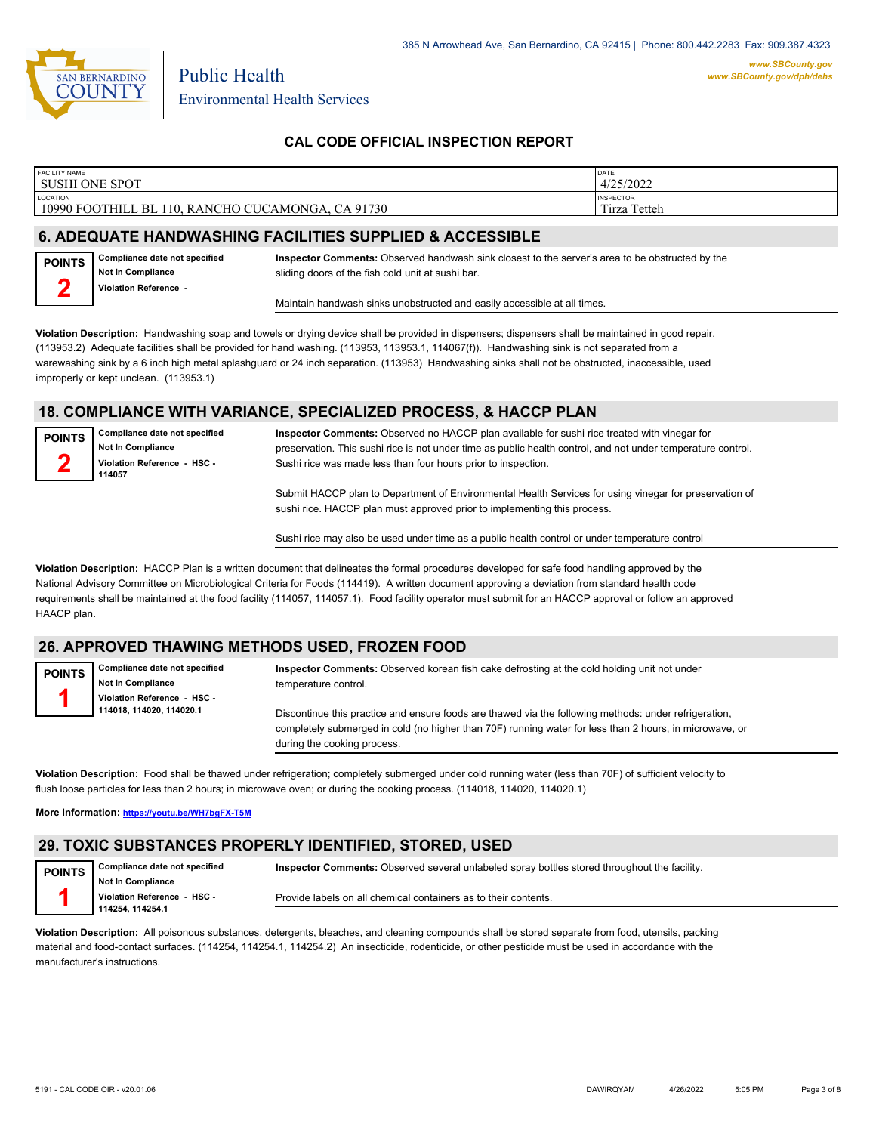

| <b>FACILITY NAME</b><br>SUSHI ONE SPOT                                                    | DATE<br>4/25/2022                             |
|-------------------------------------------------------------------------------------------|-----------------------------------------------|
| LOCATION<br>10990<br><b>CA</b><br>91730<br>FOOTHILL<br>, RANCHO CUCAMONGA,<br>J.BL<br>-10 | <b>INSPECTOR</b><br>Tetteh<br>$\sim$<br>Tirza |
|                                                                                           |                                               |

# **6. ADEQUATE HANDWASHING FACILITIES SUPPLIED & ACCESSIBLE**

**Compliance date not specified Not In Compliance Violation Reference POINTS**

> **Compliance date not specified Not In Compliance Violation Reference - HSC -**

**2**

**Inspector Comments:** Observed handwash sink closest to the server's area to be obstructed by the sliding doors of the fish cold unit at sushi bar.

Maintain handwash sinks unobstructed and easily accessible at all times.

**Violation Description:** Handwashing soap and towels or drying device shall be provided in dispensers; dispensers shall be maintained in good repair. (113953.2) Adequate facilities shall be provided for hand washing. (113953, 113953.1, 114067(f)). Handwashing sink is not separated from a warewashing sink by a 6 inch high metal splashguard or 24 inch separation. (113953) Handwashing sinks shall not be obstructed, inaccessible, used improperly or kept unclean. (113953.1)

#### **18. COMPLIANCE WITH VARIANCE, SPECIALIZED PROCESS, & HACCP PLAN**

**POINTS 2**

**114057**

**Inspector Comments:** Observed no HACCP plan available for sushi rice treated with vinegar for preservation. This sushi rice is not under time as public health control, and not under temperature control. Sushi rice was made less than four hours prior to inspection.

Submit HACCP plan to Department of Environmental Health Services for using vinegar for preservation of sushi rice. HACCP plan must approved prior to implementing this process.

Sushi rice may also be used under time as a public health control or under temperature control

**Violation Description:** HACCP Plan is a written document that delineates the formal procedures developed for safe food handling approved by the National Advisory Committee on Microbiological Criteria for Foods (114419). A written document approving a deviation from standard health code requirements shall be maintained at the food facility (114057, 114057.1). Food facility operator must submit for an HACCP approval or follow an approved HAACP plan.

# **26. APPROVED THAWING METHODS USED, FROZEN FOOD**

**POINTS 1**

**1**

**Compliance date not specified Not In Compliance Violation Reference - HSC - 114018, 114020, 114020.1**

**Inspector Comments:** Observed korean fish cake defrosting at the cold holding unit not under temperature control.

Discontinue this practice and ensure foods are thawed via the following methods: under refrigeration, completely submerged in cold (no higher than 70F) running water for less than 2 hours, in microwave, or during the cooking process.

**Violation Description:** Food shall be thawed under refrigeration; completely submerged under cold running water (less than 70F) of sufficient velocity to flush loose particles for less than 2 hours; in microwave oven; or during the cooking process. (114018, 114020, 114020.1)

**More Information: <https://youtu.be/WH7bgFX-T5M>**

# **29. TOXIC SUBSTANCES PROPERLY IDENTIFIED, STORED, USED**

**Compliance date not specified Not In Compliance Violation Reference - HSC - 114254, 114254.1 POINTS Inspector Comments:** Observed several unlabeled spray bottles stored throughout the facility. Provide labels on all chemical containers as to their contents.

**Violation Description:** All poisonous substances, detergents, bleaches, and cleaning compounds shall be stored separate from food, utensils, packing material and food-contact surfaces. (114254, 114254.1, 114254.2) An insecticide, rodenticide, or other pesticide must be used in accordance with the manufacturer's instructions.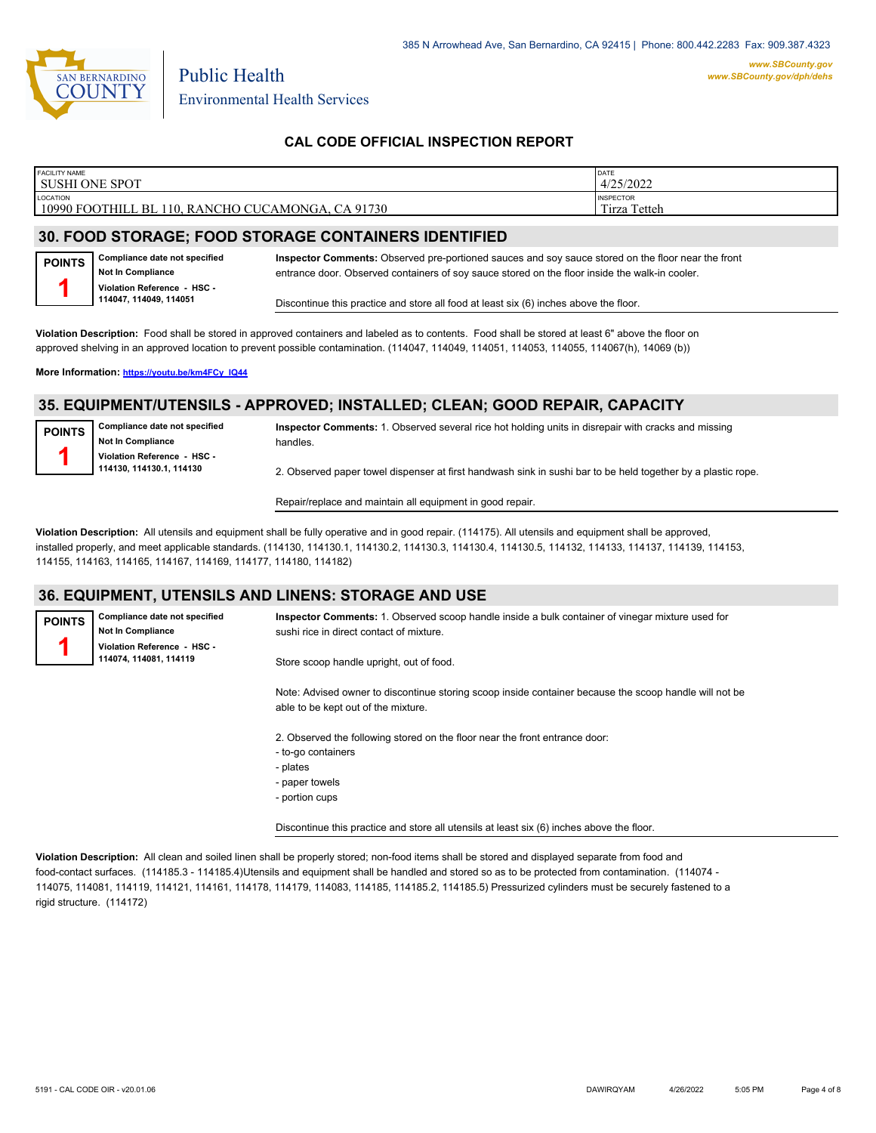

| <b>FACILITY NAME</b>         | DATE             |
|------------------------------|------------------|
| SUSHI ONE SPOT               | 4/25/2022        |
| LOCATION                     | <b>INSPECTOR</b> |
| 10990 FOOTHILL BL 110.       | Tetteh           |
| , RANCHO CUCAMONGA, CA 91730 | Tirza            |

# **30. FOOD STORAGE; FOOD STORAGE CONTAINERS IDENTIFIED**

**Compliance date not specified Not In Compliance Violation Reference - HSC - 114047, 114049, 114051 POINTS 1**

**Inspector Comments:** Observed pre-portioned sauces and soy sauce stored on the floor near the front entrance door. Observed containers of soy sauce stored on the floor inside the walk-in cooler.

Discontinue this practice and store all food at least six (6) inches above the floor.

**Violation Description:** Food shall be stored in approved containers and labeled as to contents. Food shall be stored at least 6" above the floor on approved shelving in an approved location to prevent possible contamination. (114047, 114049, 114051, 114053, 114055, 114067(h), 14069 (b))

**More Information: [https://youtu.be/km4FCy\\_IQ44](https://youtu.be/km4FCy_IQ44)**

**Compliance date not specified Not In Compliance Violation Reference - HSC - 114074, 114081, 114119**

# **35. EQUIPMENT/UTENSILS - APPROVED; INSTALLED; CLEAN; GOOD REPAIR, CAPACITY**

| <b>POINTS</b> | Compliance date not specified |
|---------------|-------------------------------|
|               | Not In Compliance             |
|               | Violation Reference - HSC -   |
|               | 114130. 114130.1. 114130      |

**POINTS 1**

**Inspector Comments:** 1. Observed several rice hot holding units in disrepair with cracks and missing handles.

2. Observed paper towel dispenser at first handwash sink in sushi bar to be held together by a plastic rope.

Repair/replace and maintain all equipment in good repair.

**Violation Description:** All utensils and equipment shall be fully operative and in good repair. (114175). All utensils and equipment shall be approved, installed properly, and meet applicable standards. (114130, 114130.1, 114130.2, 114130.3, 114130.4, 114130.5, 114132, 114133, 114137, 114139, 114153, 114155, 114163, 114165, 114167, 114169, 114177, 114180, 114182)

#### **36. EQUIPMENT, UTENSILS AND LINENS: STORAGE AND USE**

**Inspector Comments:** 1. Observed scoop handle inside a bulk container of vinegar mixture used for sushi rice in direct contact of mixture.

Store scoop handle upright, out of food.

Note: Advised owner to discontinue storing scoop inside container because the scoop handle will not be able to be kept out of the mixture.

2. Observed the following stored on the floor near the front entrance door:

- to-go containers
- plates
- paper towels
- portion cups

Discontinue this practice and store all utensils at least six (6) inches above the floor.

**Violation Description:** All clean and soiled linen shall be properly stored; non-food items shall be stored and displayed separate from food and food-contact surfaces. (114185.3 - 114185.4)Utensils and equipment shall be handled and stored so as to be protected from contamination. (114074 - 114075, 114081, 114119, 114121, 114161, 114178, 114179, 114083, 114185, 114185.2, 114185.5) Pressurized cylinders must be securely fastened to a rigid structure. (114172)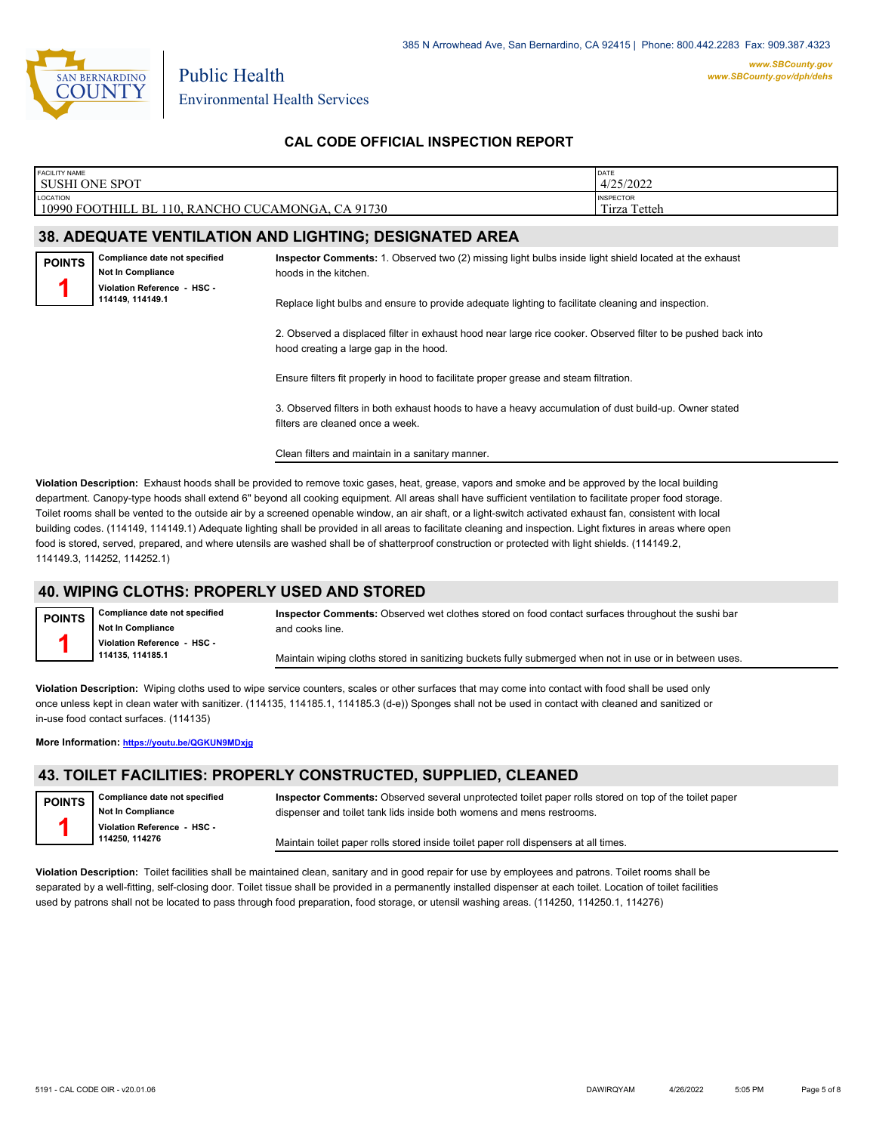

| <b>FACILITY NAME</b><br><b>SUSHI ONE SPOT</b>                       | DATE<br>4/25/2022                               |                                                                                                                                                         |                                  |  |  |
|---------------------------------------------------------------------|-------------------------------------------------|---------------------------------------------------------------------------------------------------------------------------------------------------------|----------------------------------|--|--|
| LOCATION<br>10990 FOOTHILL BL 110, RANCHO CUCAMONGA, CA 91730       |                                                 |                                                                                                                                                         | <b>INSPECTOR</b><br>Tirza Tetteh |  |  |
|                                                                     |                                                 | <b>38. ADEQUATE VENTILATION AND LIGHTING; DESIGNATED AREA</b>                                                                                           |                                  |  |  |
| Compliance date not specified<br><b>POINTS</b><br>Not In Compliance |                                                 | Inspector Comments: 1. Observed two (2) missing light bulbs inside light shield located at the exhaust<br>hoods in the kitchen.                         |                                  |  |  |
|                                                                     | Violation Reference - HSC -<br>114149, 114149.1 | Replace light bulbs and ensure to provide adequate lighting to facilitate cleaning and inspection.                                                      |                                  |  |  |
|                                                                     |                                                 | 2. Observed a displaced filter in exhaust hood near large rice cooker. Observed filter to be pushed back into<br>hood creating a large gap in the hood. |                                  |  |  |
|                                                                     |                                                 | Ensure filters fit properly in hood to facilitate proper grease and steam filtration.                                                                   |                                  |  |  |
|                                                                     |                                                 | 3. Observed filters in both exhaust hoods to have a heavy accumulation of dust build-up. Owner stated<br>filters are cleaned once a week.               |                                  |  |  |
|                                                                     |                                                 | Clean filters and maintain in a sanitary manner.                                                                                                        |                                  |  |  |

**Violation Description:** Exhaust hoods shall be provided to remove toxic gases, heat, grease, vapors and smoke and be approved by the local building department. Canopy-type hoods shall extend 6" beyond all cooking equipment. All areas shall have sufficient ventilation to facilitate proper food storage. Toilet rooms shall be vented to the outside air by a screened openable window, an air shaft, or a light-switch activated exhaust fan, consistent with local building codes. (114149, 114149.1) Adequate lighting shall be provided in all areas to facilitate cleaning and inspection. Light fixtures in areas where open food is stored, served, prepared, and where utensils are washed shall be of shatterproof construction or protected with light shields. (114149.2, 114149.3, 114252, 114252.1)

# **40. WIPING CLOTHS: PROPERLY USED AND STORED**

**Compliance date not specified Not In Compliance Violation Reference - HSC - 114135, 114185.1 POINTS 1 Inspector Comments:** Observed wet clothes stored on food contact surfaces throughout the sushi bar and cooks line. Maintain wiping cloths stored in sanitizing buckets fully submerged when not in use or in between uses.

**Violation Description:** Wiping cloths used to wipe service counters, scales or other surfaces that may come into contact with food shall be used only once unless kept in clean water with sanitizer. (114135, 114185.1, 114185.3 (d-e)) Sponges shall not be used in contact with cleaned and sanitized or in-use food contact surfaces. (114135)

**More Information: <https://youtu.be/QGKUN9MDxjg>**

# **43. TOILET FACILITIES: PROPERLY CONSTRUCTED, SUPPLIED, CLEANED**

| <b>POINTS</b> | Compliance date not specified |  |  |  |
|---------------|-------------------------------|--|--|--|
|               | Not In Compliance             |  |  |  |
|               | Violation Reference - HSC -   |  |  |  |
|               | 114250, 114276                |  |  |  |

**Inspector Comments:** Observed several unprotected toilet paper rolls stored on top of the toilet paper dispenser and toilet tank lids inside both womens and mens restrooms.

Maintain toilet paper rolls stored inside toilet paper roll dispensers at all times.

**Violation Description:** Toilet facilities shall be maintained clean, sanitary and in good repair for use by employees and patrons. Toilet rooms shall be separated by a well-fitting, self-closing door. Toilet tissue shall be provided in a permanently installed dispenser at each toilet. Location of toilet facilities used by patrons shall not be located to pass through food preparation, food storage, or utensil washing areas. (114250, 114250.1, 114276)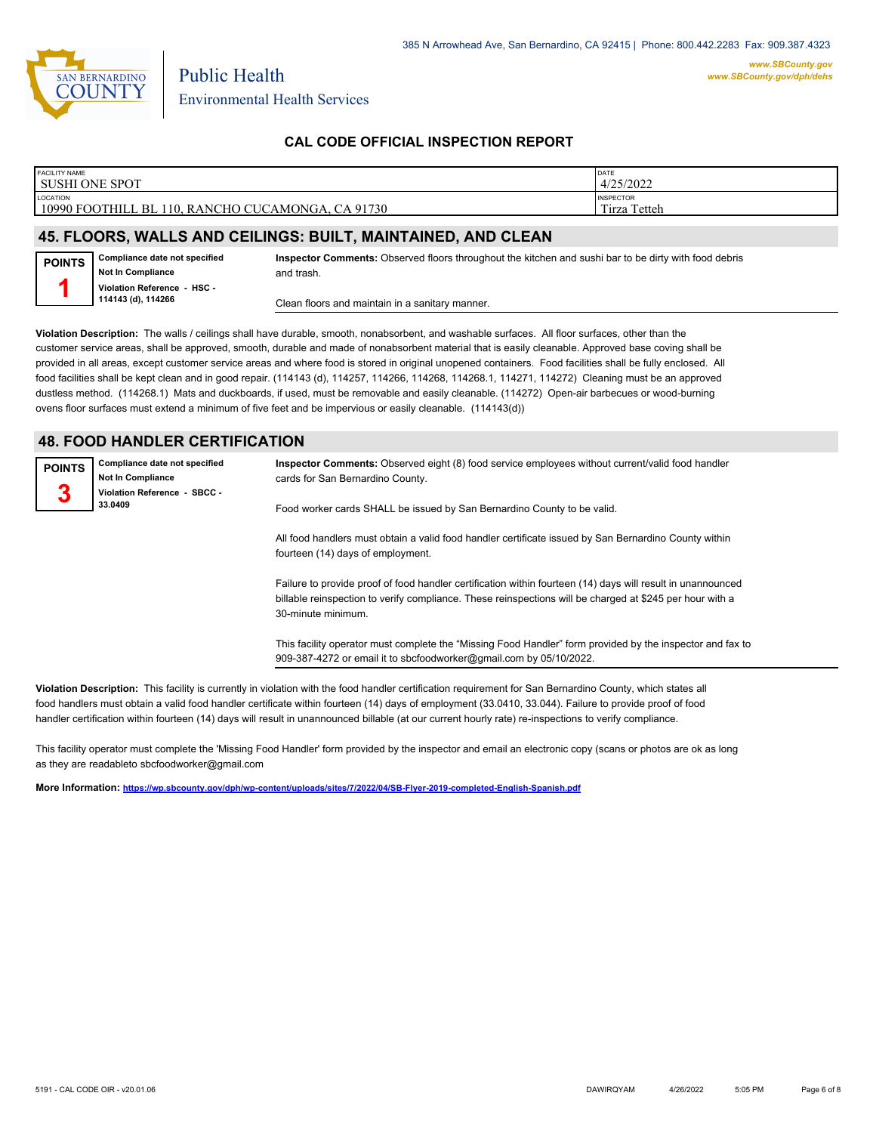

| FACILITY NAME<br>I SUSHI ONE SPOT                                    | <b>DATE</b><br>4/25/2022             |
|----------------------------------------------------------------------|--------------------------------------|
| <b>LOCATION</b><br>10990 FOOTHILL BL 110, RANCHO CUCAMONGA, CA 91730 | <b>INSPECTOR</b><br>Tirza.<br>Tetteh |
|                                                                      |                                      |

#### **45. FLOORS, WALLS AND CEILINGS: BUILT, MAINTAINED, AND CLEAN**

| <b>POINTS</b> | Compliance date not specified                     |
|---------------|---------------------------------------------------|
|               | Not In Compliance                                 |
|               | Violation Reference - HSC -<br>114143 (d), 114266 |

**Inspector Comments:** Observed floors throughout the kitchen and sushi bar to be dirty with food debris and trash.

Clean floors and maintain in a sanitary manner.

**Violation Description:** The walls / ceilings shall have durable, smooth, nonabsorbent, and washable surfaces. All floor surfaces, other than the customer service areas, shall be approved, smooth, durable and made of nonabsorbent material that is easily cleanable. Approved base coving shall be provided in all areas, except customer service areas and where food is stored in original unopened containers. Food facilities shall be fully enclosed. All food facilities shall be kept clean and in good repair. (114143 (d), 114257, 114266, 114268, 114268.1, 114271, 114272) Cleaning must be an approved dustless method. (114268.1) Mats and duckboards, if used, must be removable and easily cleanable. (114272) Open-air barbecues or wood-burning ovens floor surfaces must extend a minimum of five feet and be impervious or easily cleanable. (114143(d))

# **48. FOOD HANDLER CERTIFICATION**

| <b>POINTS</b> | Compliance date not specified<br><b>Not In Compliance</b> | Inspector Comments: Observed eight (8) food service employees without current/valid food handler<br>cards for San Bernardino County.       |
|---------------|-----------------------------------------------------------|--------------------------------------------------------------------------------------------------------------------------------------------|
|               | Violation Reference - SBCC -<br>33.0409                   | Food worker cards SHALL be issued by San Bernardino County to be valid.                                                                    |
|               |                                                           | All food handlers must obtain a valid food handler certificate issued by San Bernardino County within<br>fourteen (14) days of employment. |

Failure to provide proof of food handler certification within fourteen (14) days will result in unannounced billable reinspection to verify compliance. These reinspections will be charged at \$245 per hour with a 30-minute minimum.

This facility operator must complete the "Missing Food Handler" form provided by the inspector and fax to 909-387-4272 or email it to sbcfoodworker@gmail.com by 05/10/2022.

**Violation Description:** This facility is currently in violation with the food handler certification requirement for San Bernardino County, which states all food handlers must obtain a valid food handler certificate within fourteen (14) days of employment (33.0410, 33.044). Failure to provide proof of food handler certification within fourteen (14) days will result in unannounced billable (at our current hourly rate) re-inspections to verify compliance.

This facility operator must complete the 'Missing Food Handler' form provided by the inspector and email an electronic copy (scans or photos are ok as long as they are readableto sbcfoodworker@gmail.com

**More Information: <https://wp.sbcounty.gov/dph/wp-content/uploads/sites/7/2022/04/SB-Flyer-2019-completed-English-Spanish.pdf>**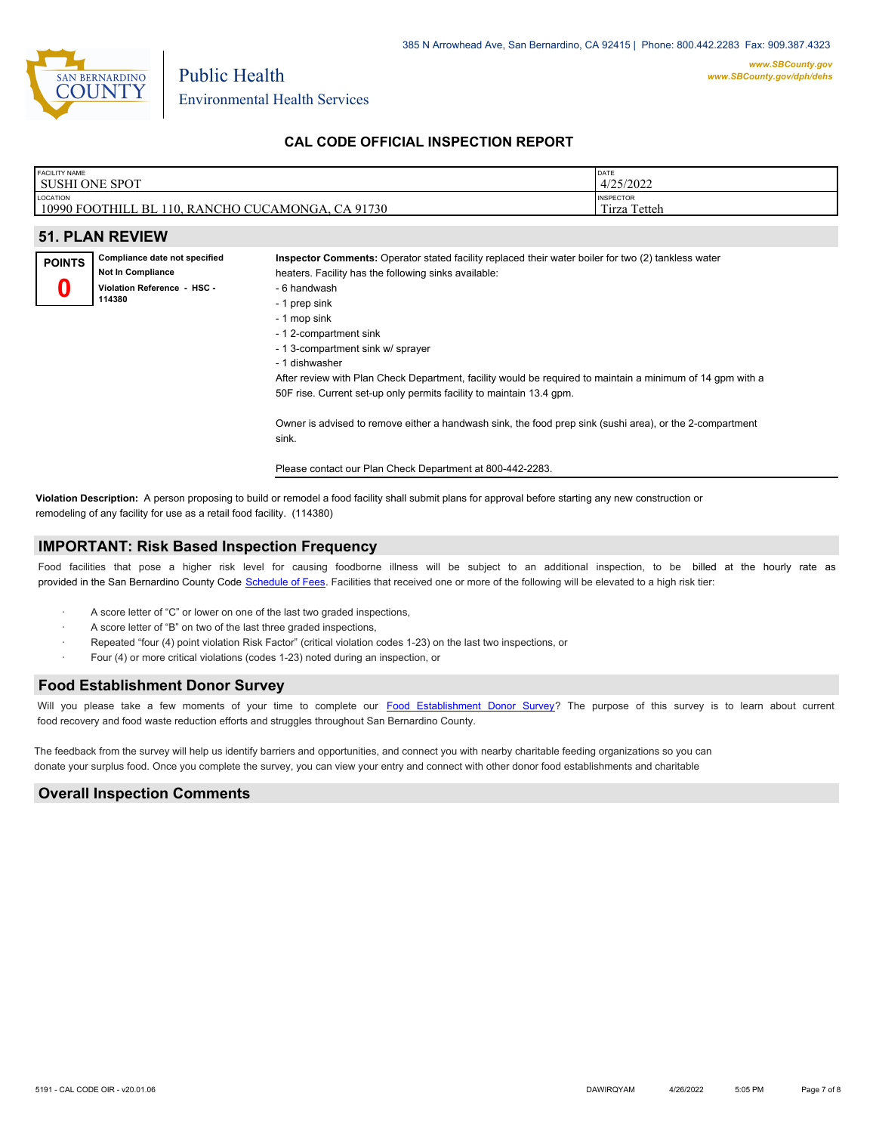

| <b>FACILITY NAME</b>   | DATE             |
|------------------------|------------------|
| <b>SUSHI ONE SPOT</b>  | 4/25/2022        |
| LOCATION               | <b>INSPECTOR</b> |
| 10990 FOOTHILL BL 11   | Tetteh           |
| 110, RANCHO CUCAMONGA, | $\sim$ $\sim$    |
| CA 91730               | l irza           |

| <b>51. PLAN REVIEW</b> |                               |                                                                                                     |  |  |
|------------------------|-------------------------------|-----------------------------------------------------------------------------------------------------|--|--|
| <b>POINTS</b>          | Compliance date not specified | Inspector Comments: Operator stated facility replaced their water boiler for two (2) tankless water |  |  |
|                        | <b>Not In Compliance</b>      | heaters. Facility has the following sinks available:                                                |  |  |
|                        | Violation Reference - HSC -   | - 6 handwash                                                                                        |  |  |
| 114380                 |                               | - 1 prep sink                                                                                       |  |  |
|                        |                               | - 1 mop sink                                                                                        |  |  |
|                        |                               | - 1 2-compartment sink                                                                              |  |  |
|                        |                               | - 1 3-compartment sink w/ sprayer                                                                   |  |  |

- 1 dishwasher

After review with Plan Check Department, facility would be required to maintain a minimum of 14 gpm with a 50F rise. Current set-up only permits facility to maintain 13.4 gpm.

Owner is advised to remove either a handwash sink, the food prep sink (sushi area), or the 2-compartment sink.

Please contact our Plan Check Department at 800-442-2283.

**Violation Description:** A person proposing to build or remodel a food facility shall submit plans for approval before starting any new construction or remodeling of any facility for use as a retail food facility. (114380)

#### **IMPORTANT: Risk Based Inspection Frequency**

Food facilities that pose a higher risk level for causing foodborne illness will be subject to an additional inspection, to be billed at the hourly rate as provided in the San Bernardi[no County Code Schedule of Fees](https://codelibrary.amlegal.com/codes/sanbernardino/latest/sanberncty_ca/0-0-0-122474#JD_16.0213B). Facilities that received one or more of the following will be elevated to a high risk tier:

- A score letter of "C" or lower on one of the last two graded inspections,
- A score letter of "B" on two of the last three graded inspections,
- Repeated "four (4) point violation Risk Factor" (critical violation codes 1-23) on the last two inspections, or
- Four (4) or more critical violations (codes 1-23) noted during an inspection, or

#### **Food Establishment Donor Survey**

Will you please take a few moments of your time to co[mplete our Food Establishment Donor Survey?](https://survey123.arcgis.com/share/626bb0fb21674c82832b0c0d557c5e80?field:faid=FA0016417&field:facility_name=SUSHI%20ONE%20SPOT¢er=34.11,-117.56&field:phone=9099411184) The purpose of this survey is to learn about current food recovery and food waste reduction efforts and struggles throughout San Bernardino County.

The feedback from the survey will help us identify barriers and opportunities, and connect you with nearby charitable feeding organizations so you can donate your surplus fo[od. Once you complete the su](https://arcg.is/WvjGb)rvey, you can view your entry and connect with other donor food establishments and charitable

#### **Overall Inspection Comments**